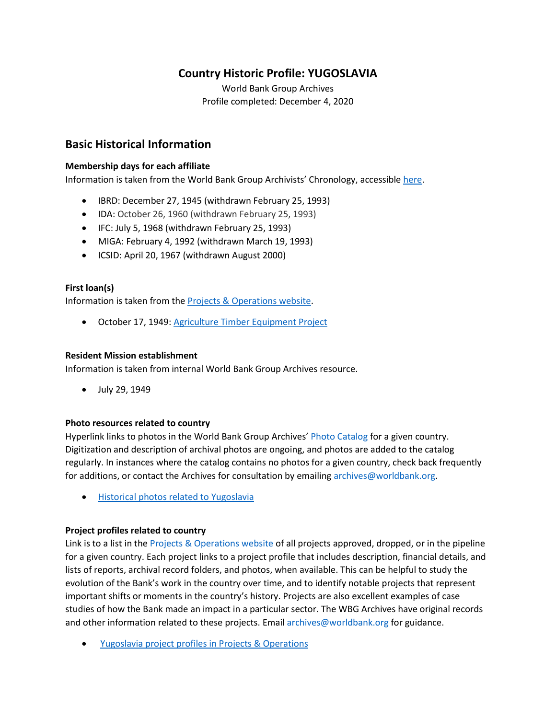## **Country Historic Profile: YUGOSLAVIA**

World Bank Group Archives Profile completed: December 4, 2020

## **Basic Historical Information**

#### **Membership days for each affiliate**

Information is taken from the World Bank Group Archivists' Chronology, accessible [here.](https://www.worldbank.org/en/about/archives/history/timeline)

- IBRD: December 27, 1945 (withdrawn February 25, 1993)
- IDA: October 26, 1960 (withdrawn February 25, 1993)
- IFC: July 5, 1968 (withdrawn February 25, 1993)
- MIGA: February 4, 1992 (withdrawn March 19, 1993)
- ICSID: April 20, 1967 (withdrawn August 2000)

#### **First loan(s)**

Information is taken from the [Projects & Operations website.](https://projects.worldbank.org/)

• October 17, 1949: [Agriculture Timber Equipment Project](https://projects.worldbank.org/en/projects-operations/project-detail/P009133?lang=en)

#### **Resident Mission establishment**

Information is taken from internal World Bank Group Archives resource.

• July 29, 1949

#### **Photo resources related to country**

Hyperlink links to photos in the World Bank Group Archives' [Photo Catalog](https://archivesphotos.worldbank.org/en/about/archives/photo-gallery) for a given country. Digitization and description of archival photos are ongoing, and photos are added to the catalog regularly. In instances where the catalog contains no photos for a given country, check back frequently for additions, or contact the Archives for consultation by emailing [archives@worldbank.org.](mailto:archives@worldbank.org)

• [Historical photos related to Yugoslavia](https://archivesphotos.worldbank.org/en/about/archives/photo-gallery/photo-gallery-landing?qterm=yugoslavia)

#### **Project profiles related to country**

Link is to a list in the [Projects & Operations website](https://projects.worldbank.org/) of all projects approved, dropped, or in the pipeline for a given country. Each project links to a project profile that includes description, financial details, and lists of reports, archival record folders, and photos, when available. This can be helpful to study the evolution of the Bank's work in the country over time, and to identify notable projects that represent important shifts or moments in the country's history. Projects are also excellent examples of case studies of how the Bank made an impact in a particular sector. The WBG Archives have original records and other information related to these projects. Email [archives@worldbank.org](mailto:archives@worldbank.org) for guidance.

• [Yugoslavia project profiles in Projects & Operations](https://projects.worldbank.org/en/projects-operations/projects-list?searchTerm=%22yugoslavia%2C%20former%22)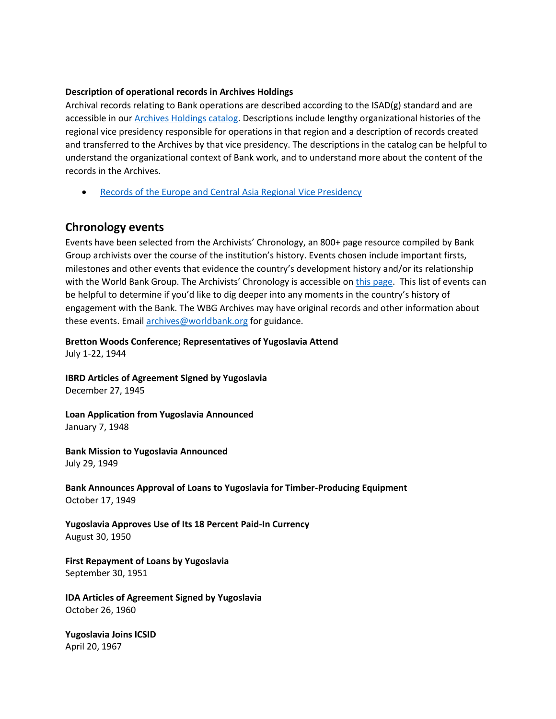#### **Description of operational records in Archives Holdings**

Archival records relating to Bank operations are described according to the ISAD(g) standard and are accessible in our **Archives Holdings catalog**. Descriptions include lengthy organizational histories of the regional vice presidency responsible for operations in that region and a description of records created and transferred to the Archives by that vice presidency. The descriptions in the catalog can be helpful to understand the organizational context of Bank work, and to understand more about the content of the records in the Archives.

• [Records of the Europe and Central Asia Regional Vice Presidency](https://archivesholdings.worldbank.org/records-of-europe-and-central-asia-regional-vice-presidency)

## **Chronology events**

Events have been selected from the Archivists' Chronology, an 800+ page resource compiled by Bank Group archivists over the course of the institution's history. Events chosen include important firsts, milestones and other events that evidence the country's development history and/or its relationship with the World Bank Group. The Archivists' Chronology is accessible on [this page.](https://www.worldbank.org/en/about/archives/history/timeline) This list of events can be helpful to determine if you'd like to dig deeper into any moments in the country's history of engagement with the Bank. The WBG Archives may have original records and other information about these events. Email [archives@worldbank.org](mailto:archives@worldbank.org) for guidance.

**Bretton Woods Conference; Representatives of Yugoslavia Attend**  July 1-22, 1944

**IBRD Articles of Agreement Signed by Yugoslavia** December 27, 1945

**Loan Application from Yugoslavia Announced** January 7, 1948

**Bank Mission to Yugoslavia Announced** July 29, 1949

**Bank Announces Approval of Loans to Yugoslavia for Timber-Producing Equipment**  October 17, 1949

**Yugoslavia Approves Use of Its 18 Percent Paid-In Currency** August 30, 1950

**First Repayment of Loans by Yugoslavia**  September 30, 1951

**IDA Articles of Agreement Signed by Yugoslavia** October 26, 1960

**Yugoslavia Joins ICSID** April 20, 1967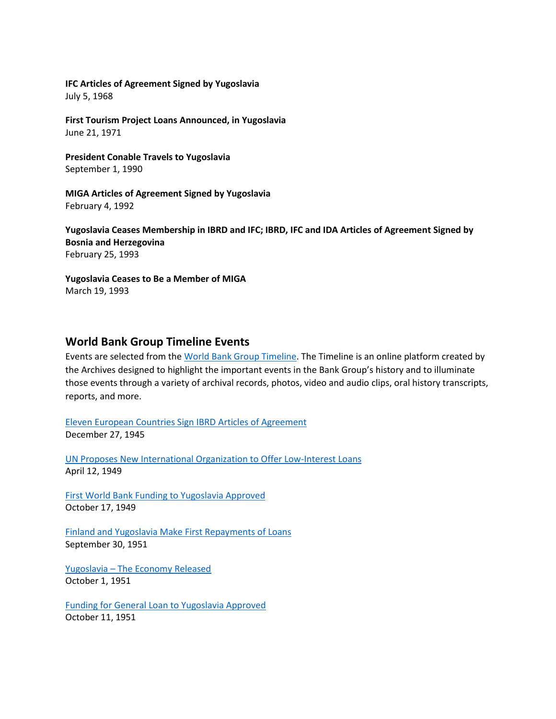#### **IFC Articles of Agreement Signed by Yugoslavia**

July 5, 1968

**First Tourism Project Loans Announced, in Yugoslavia**  June 21, 1971

**President Conable Travels to Yugoslavia** September 1, 1990

**MIGA Articles of Agreement Signed by Yugoslavia** February 4, 1992

**Yugoslavia Ceases Membership in IBRD and IFC; IBRD, IFC and IDA Articles of Agreement Signed by Bosnia and Herzegovina** February 25, 1993

**Yugoslavia Ceases to Be a Member of MIGA** March 19, 1993

### **World Bank Group Timeline Events**

Events are selected from th[e World Bank Group Timeline.](https://timeline.worldbank.org/#event-bretton-woods-conference-begins) The Timeline is an online platform created by the Archives designed to highlight the important events in the Bank Group's history and to illuminate those events through a variety of archival records, photos, video and audio clips, oral history transcripts, reports, and more.

[Eleven European Countries Sign IBRD Articles of Agreement](https://timeline.worldbank.org/?field_timeline_target_id=All&combine=yugoslavia#event-eleven-european-countries-sign-ibrd-articles-of-agreement) December 27, 1945

[UN Proposes New International Organization to Offer Low-Interest Loans](https://timeline.worldbank.org/?field_timeline_target_id=All&combine=yugoslavia#event-un-proposes-new-international-organization-to-offer-low-interest-loans) April 12, 1949

[First World Bank Funding to Yugoslavia Approved](https://timeline.worldbank.org/?field_timeline_target_id=All&combine=yugoslavia#event-first-world-bank-funding-to-yugoslavia-approved) October 17, 1949

[Finland and Yugoslavia Make First Repayments of Loans](https://timeline.worldbank.org/?field_timeline_target_id=All&combine=yugoslavia#event-finland-and-yugoslavia-make-first-repayments-of-loans) September 30, 1951

Yugoslavia – [The Economy Released](https://timeline.worldbank.org/?field_timeline_target_id=All&combine=yugoslavia#event-yugoslavia-the-economy-released) October 1, 1951

[Funding for General Loan to Yugoslavia Approved](https://timeline.worldbank.org/?field_timeline_target_id=All&combine=yugoslavia#event-funding-for-general-loan-to-yugoslavia-approved) October 11, 1951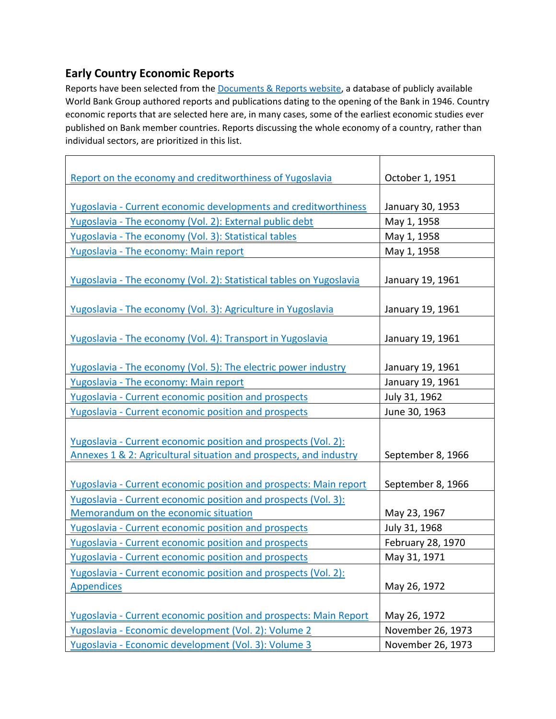# **Early Country Economic Reports**

Reports have been selected from the **Documents & Reports website**, a database of publicly available World Bank Group authored reports and publications dating to the opening of the Bank in 1946. Country economic reports that are selected here are, in many cases, some of the earliest economic studies ever published on Bank member countries. Reports discussing the whole economy of a country, rather than individual sectors, are prioritized in this list.

 $\top$ 

| Report on the economy and creditworthiness of Yugoslavia            | October 1, 1951   |  |
|---------------------------------------------------------------------|-------------------|--|
|                                                                     |                   |  |
| Yugoslavia - Current economic developments and creditworthiness     | January 30, 1953  |  |
| Yugoslavia - The economy (Vol. 2): External public debt             | May 1, 1958       |  |
| Yugoslavia - The economy (Vol. 3): Statistical tables               | May 1, 1958       |  |
| Yugoslavia - The economy: Main report                               | May 1, 1958       |  |
|                                                                     |                   |  |
| Yugoslavia - The economy (Vol. 2): Statistical tables on Yugoslavia | January 19, 1961  |  |
|                                                                     |                   |  |
| Yugoslavia - The economy (Vol. 3): Agriculture in Yugoslavia        | January 19, 1961  |  |
|                                                                     |                   |  |
| Yugoslavia - The economy (Vol. 4): Transport in Yugoslavia          | January 19, 1961  |  |
|                                                                     |                   |  |
| Yugoslavia - The economy (Vol. 5): The electric power industry      | January 19, 1961  |  |
| Yugoslavia - The economy: Main report                               | January 19, 1961  |  |
| <b>Yugoslavia - Current economic position and prospects</b>         | July 31, 1962     |  |
| Yugoslavia - Current economic position and prospects                | June 30, 1963     |  |
|                                                                     |                   |  |
| Yugoslavia - Current economic position and prospects (Vol. 2):      |                   |  |
| Annexes 1 & 2: Agricultural situation and prospects, and industry   | September 8, 1966 |  |
|                                                                     |                   |  |
| Yugoslavia - Current economic position and prospects: Main report   | September 8, 1966 |  |
| Yugoslavia - Current economic position and prospects (Vol. 3):      |                   |  |
| Memorandum on the economic situation                                | May 23, 1967      |  |
| Yugoslavia - Current economic position and prospects                | July 31, 1968     |  |
| Yugoslavia - Current economic position and prospects                | February 28, 1970 |  |
| <b>Yugoslavia - Current economic position and prospects</b>         | May 31, 1971      |  |
| Yugoslavia - Current economic position and prospects (Vol. 2):      |                   |  |
| <b>Appendices</b>                                                   | May 26, 1972      |  |
|                                                                     |                   |  |
| Yugoslavia - Current economic position and prospects: Main Report   | May 26, 1972      |  |
| Yugoslavia - Economic development (Vol. 2): Volume 2                | November 26, 1973 |  |
| Yugoslavia - Economic development (Vol. 3): Volume 3                | November 26, 1973 |  |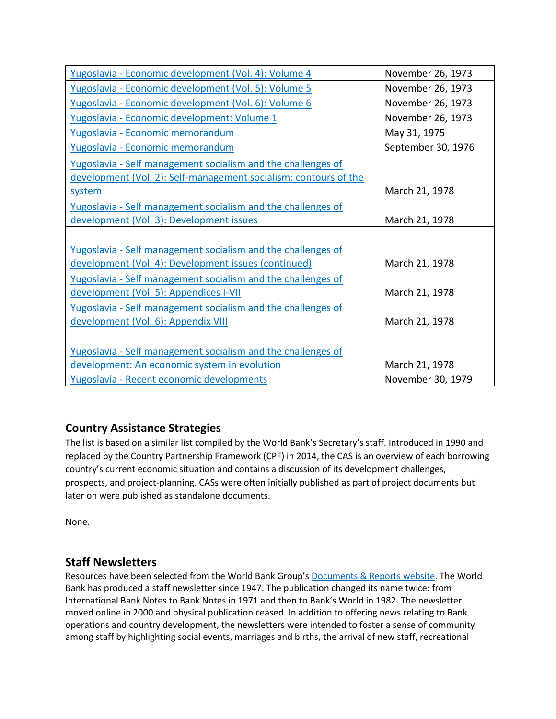| Yugoslavia - Economic development (Vol. 4): Volume 4                                                                                       | November 26, 1973  |
|--------------------------------------------------------------------------------------------------------------------------------------------|--------------------|
| Yugoslavia - Economic development (Vol. 5): Volume 5                                                                                       | November 26, 1973  |
| Yugoslavia - Economic development (Vol. 6): Volume 6                                                                                       | November 26, 1973  |
| Yugoslavia - Economic development: Volume 1                                                                                                | November 26, 1973  |
| Yugoslavia - Economic memorandum                                                                                                           | May 31, 1975       |
| Yugoslavia - Economic memorandum                                                                                                           | September 30, 1976 |
| Yugoslavia - Self management socialism and the challenges of<br>development (Vol. 2): Self-management socialism: contours of the<br>system | March 21, 1978     |
| Yugoslavia - Self management socialism and the challenges of<br>development (Vol. 3): Development issues                                   | March 21, 1978     |
| Yugoslavia - Self management socialism and the challenges of<br>development (Vol. 4): Development issues (continued)                       | March 21, 1978     |
| Yugoslavia - Self management socialism and the challenges of<br>development (Vol. 5): Appendices I-VII                                     | March 21, 1978     |
| Yugoslavia - Self management socialism and the challenges of<br>development (Vol. 6): Appendix VIII                                        | March 21, 1978     |
| Yugoslavia - Self management socialism and the challenges of<br>development: An economic system in evolution                               | March 21, 1978     |
| Yugoslavia - Recent economic developments                                                                                                  | November 30, 1979  |

## **Country Assistance Strategies**

The list is based on a similar list compiled by the World Bank's Secretary's staff. Introduced in 1990 and replaced by the Country Partnership Framework (CPF) in 2014, the CAS is an overview of each borrowing country's current economic situation and contains a discussion of its development challenges, prospects, and project-planning. CASs were often initially published as part of project documents but later on were published as standalone documents.

None.

## **Staff Newsletters**

Resources have been selected from the World Bank Group's **Documents & Reports website**. The World Bank has produced a staff newsletter since 1947. The publication changed its name twice: from International Bank Notes to Bank Notes in 1971 and then to Bank's World in 1982. The newsletter moved online in 2000 and physical publication ceased. In addition to offering news relating to Bank operations and country development, the newsletters were intended to foster a sense of community among staff by highlighting social events, marriages and births, the arrival of new staff, recreational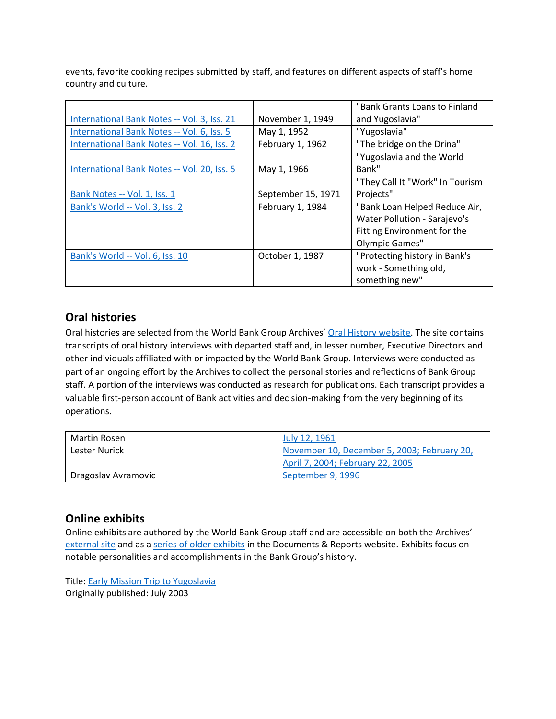events, favorite cooking recipes submitted by staff, and features on different aspects of staff's home country and culture.

|                                             |                    | "Bank Grants Loans to Finland   |  |
|---------------------------------------------|--------------------|---------------------------------|--|
| International Bank Notes -- Vol. 3, Iss. 21 | November 1, 1949   | and Yugoslavia"                 |  |
| International Bank Notes -- Vol. 6, Iss. 5  | May 1, 1952        | "Yugoslavia"                    |  |
| International Bank Notes -- Vol. 16, Iss. 2 | February 1, 1962   | "The bridge on the Drina"       |  |
|                                             |                    | "Yugoslavia and the World       |  |
| International Bank Notes -- Vol. 20, Iss. 5 | May 1, 1966        | Bank"                           |  |
|                                             |                    | "They Call It "Work" In Tourism |  |
| Bank Notes -- Vol. 1, Iss. 1                | September 15, 1971 | Projects"                       |  |
| Bank's World -- Vol. 3, Iss. 2              | February 1, 1984   | "Bank Loan Helped Reduce Air,   |  |
|                                             |                    | Water Pollution - Sarajevo's    |  |
|                                             |                    | Fitting Environment for the     |  |
|                                             |                    | Olympic Games"                  |  |
| Bank's World -- Vol. 6, Iss. 10             | October 1, 1987    | "Protecting history in Bank's   |  |
|                                             |                    | work - Something old,           |  |
|                                             |                    | something new"                  |  |

## **Oral histories**

Oral histories are selected from the World Bank Group Archives' [Oral History website.](https://oralhistory.worldbank.org/) The site contains transcripts of oral history interviews with departed staff and, in lesser number, Executive Directors and other individuals affiliated with or impacted by the World Bank Group. Interviews were conducted as part of an ongoing effort by the Archives to collect the personal stories and reflections of Bank Group staff. A portion of the interviews was conducted as research for publications. Each transcript provides a valuable first-person account of Bank activities and decision-making from the very beginning of its operations.

| Martin Rosen        | July 12, 1961                               |  |
|---------------------|---------------------------------------------|--|
| Lester Nurick       | November 10, December 5, 2003; February 20, |  |
|                     | April 7, 2004; February 22, 2005            |  |
| Dragoslav Avramovic | September 9, 1996                           |  |

## **Online exhibits**

Online exhibits are authored by the World Bank Group staff and are accessible on both the Archives' [external site](https://www.worldbank.org/en/about/archives/history/exhibits) and as a [series of older exhibits](https://documents.worldbank.org/en/publication/documents-reports/documentlist?colti=World%20Bank%20Group%20Archives%20exhibit%20series) in the Documents & Reports website. Exhibits focus on notable personalities and accomplishments in the Bank Group's history.

Title: [Early Mission Trip to Yugoslavia](https://documents.worldbank.org/en/publication/documents-reports/documentdetail/413801468179037750/early-mission-trip-to-yugoslavia-july-2003) Originally published: July 2003